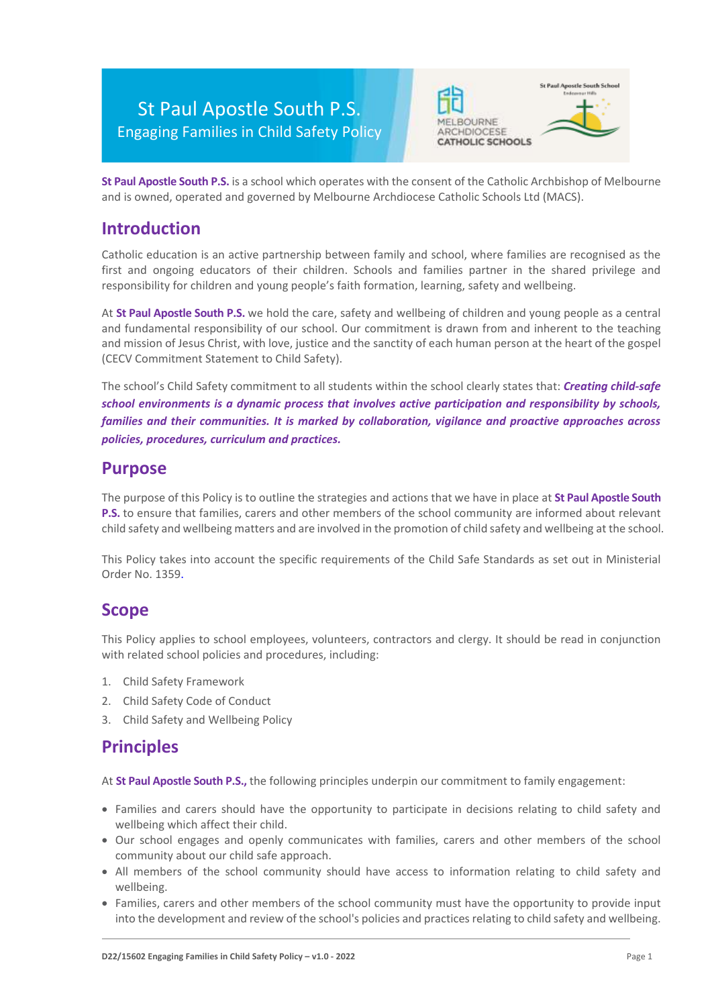# St Paul Apostle South P.S. Engaging Families in Child Safety Policy





**St Paul Apostle South P.S.** is a school which operates with the consent of the Catholic Archbishop of Melbourne and is owned, operated and governed by Melbourne Archdiocese Catholic Schools Ltd (MACS).

### **Introduction**

Catholic education is an active partnership between family and school, where families are recognised as the first and ongoing educators of their children. Schools and families partner in the shared privilege and responsibility for children and young people's faith formation, learning, safety and wellbeing.

At **St Paul Apostle South P.S.** we hold the care, safety and wellbeing of children and young people as a central and fundamental responsibility of our school. Our commitment is drawn from and inherent to the teaching and mission of Jesus Christ, with love, justice and the sanctity of each human person at the heart of the gospel (CECV Commitment Statement to Child Safety).

The school's Child Safety commitment to all students within the school clearly states that: *Creating child-safe school environments is a dynamic process that involves active participation and responsibility by schools, families and their communities. It is marked by collaboration, vigilance and proactive approaches across policies, procedures, curriculum and practices.*

### **Purpose**

The purpose of this Policy is to outline the strategies and actions that we have in place at **St Paul Apostle South P.S.** to ensure that families, carers and other members of the school community are informed about relevant child safety and wellbeing matters and are involved in the promotion of child safety and wellbeing at the school.

This Policy takes into account the specific requirements of the Child Safe Standards as set out in Ministerial Order No. 1359.

### **Scope**

This Policy applies to school employees, volunteers, contractors and clergy. It should be read in conjunction with related school policies and procedures, including:

- 1. Child Safety Framework
- 2. Child Safety Code of Conduct
- 3. Child Safety and Wellbeing Policy

### **Principles**

At **St Paul Apostle South P.S.,** the following principles underpin our commitment to family engagement:

- Families and carers should have the opportunity to participate in decisions relating to child safety and wellbeing which affect their child.
- Our school engages and openly communicates with families, carers and other members of the school community about our child safe approach.
- All members of the school community should have access to information relating to child safety and wellbeing.
- Families, carers and other members of the school community must have the opportunity to provide input into the development and review of the school's policies and practices relating to child safety and wellbeing.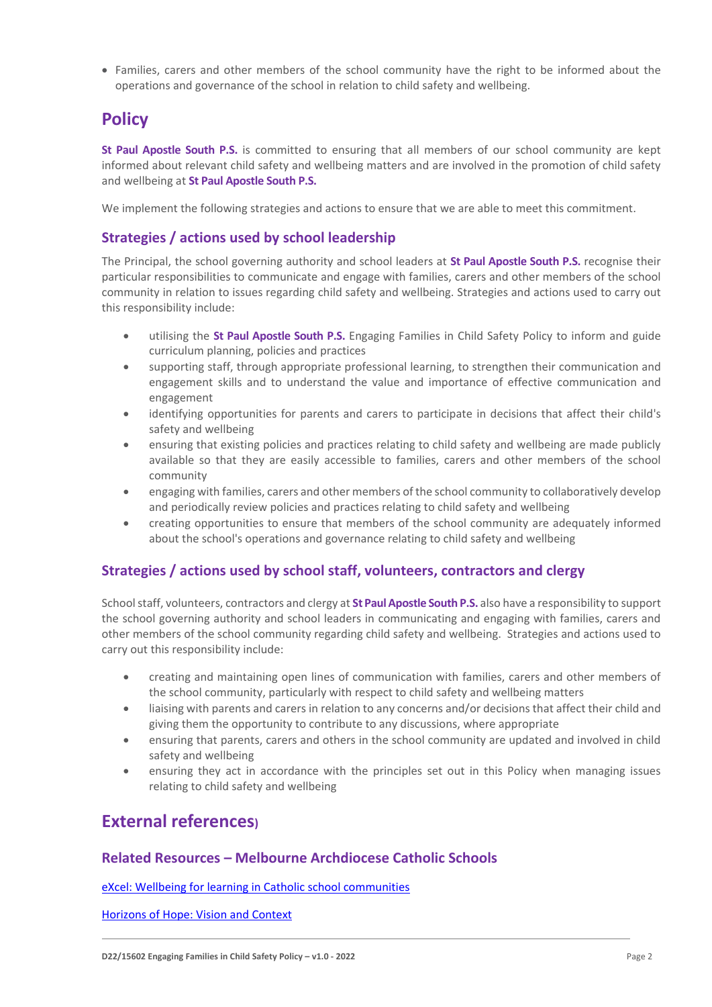• Families, carers and other members of the school community have the right to be informed about the operations and governance of the school in relation to child safety and wellbeing.

## **Policy**

**St Paul Apostle South P.S.** is committed to ensuring that all members of our school community are kept informed about relevant child safety and wellbeing matters and are involved in the promotion of child safety and wellbeing at **St Paul Apostle South P.S.**

We implement the following strategies and actions to ensure that we are able to meet this commitment.

#### **Strategies / actions used by school leadership**

The Principal, the school governing authority and school leaders at **St Paul Apostle South P.S.** recognise their particular responsibilities to communicate and engage with families, carers and other members of the school community in relation to issues regarding child safety and wellbeing. Strategies and actions used to carry out this responsibility include:

- utilising the **St Paul Apostle South P.S.** Engaging Families in Child Safety Policy to inform and guide curriculum planning, policies and practices
- supporting staff, through appropriate professional learning, to strengthen their communication and engagement skills and to understand the value and importance of effective communication and engagement
- identifying opportunities for parents and carers to participate in decisions that affect their child's safety and wellbeing
- ensuring that existing policies and practices relating to child safety and wellbeing are made publicly available so that they are easily accessible to families, carers and other members of the school community
- engaging with families, carers and other members of the school community to collaboratively develop and periodically review policies and practices relating to child safety and wellbeing
- creating opportunities to ensure that members of the school community are adequately informed about the school's operations and governance relating to child safety and wellbeing

#### **Strategies / actions used by school staff, volunteers, contractors and clergy**

School staff, volunteers, contractors and clergy at **St Paul Apostle South P.S.** also have a responsibility to support the school governing authority and school leaders in communicating and engaging with families, carers and other members of the school community regarding child safety and wellbeing. Strategies and actions used to carry out this responsibility include:

- creating and maintaining open lines of communication with families, carers and other members of the school community, particularly with respect to child safety and wellbeing matters
- liaising with parents and carers in relation to any concerns and/or decisions that affect their child and giving them the opportunity to contribute to any discussions, where appropriate
- ensuring that parents, carers and others in the school community are updated and involved in child safety and wellbeing
- ensuring they act in accordance with the principles set out in this Policy when managing issues relating to child safety and wellbeing

### **External references)**

#### **Related Resources – Melbourne Archdiocese Catholic Schools**

[eXcel: Wellbeing for learning in Catholic school communities](https://www.cem.edu.au/Our-Schools/Curriculum-Learning-Programs/Student-Wellbeing/eXcel.aspx)

[Horizons of Hope: Vision and Context](https://www.macs.vic.edu.au/Our-Schools/Curriculum-Learning-Programs/Horizons-of-Hope/Vision-Context.aspx)